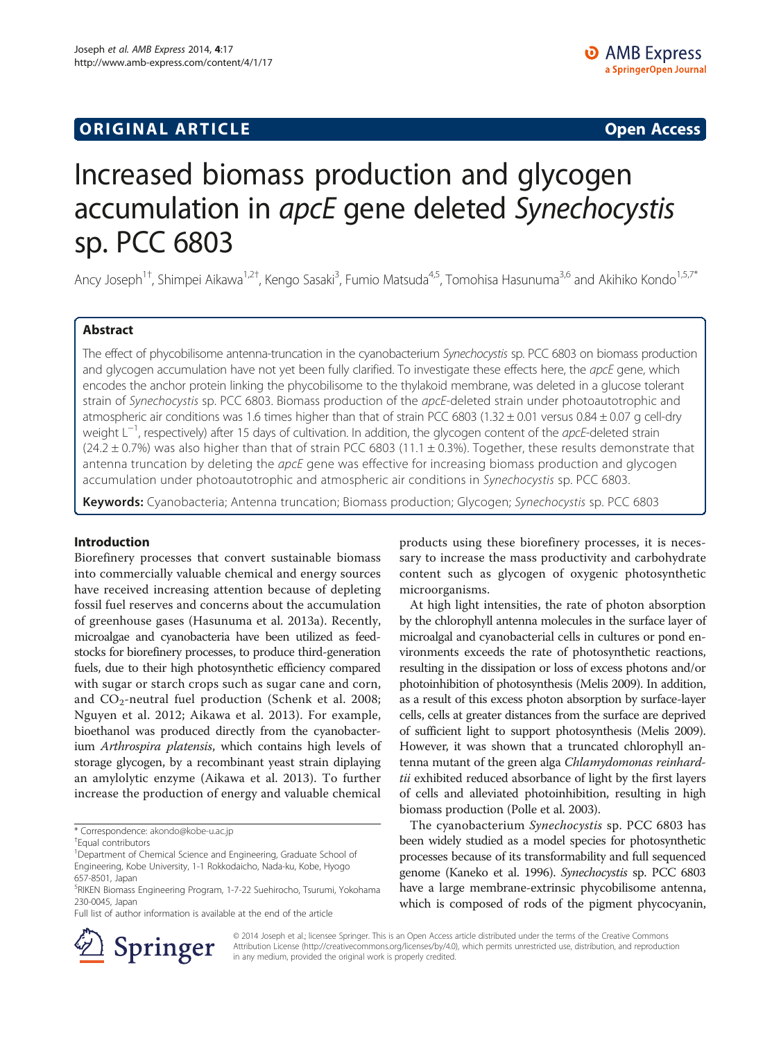# **ORIGINAL ARTICLE CONSUMING A LIGACION** CONSUMING A LIGACION CONSUMING A LIGACION CONSUMING A LIGACION CONSUMING A LIGACION CONSUMING A LIGACION CONSUMING A LIGACION CONSUMING A LIGACION CONSUMING A LIGACION CONSUMING A

# Increased biomass production and glycogen accumulation in apcE gene deleted Synechocystis sp. PCC 6803

Ancy Joseph<sup>1†</sup>, Shimpei Aikawa<sup>1,2†</sup>, Kengo Sasaki<sup>3</sup>, Fumio Matsuda<sup>4,5</sup>, Tomohisa Hasunuma<sup>3,6</sup> and Akihiko Kondo<sup>1,5,7\*</sup>

# Abstract

The effect of phycobilisome antenna-truncation in the cyanobacterium Synechocystis sp. PCC 6803 on biomass production and glycogen accumulation have not yet been fully clarified. To investigate these effects here, the apcE gene, which encodes the anchor protein linking the phycobilisome to the thylakoid membrane, was deleted in a glucose tolerant strain of Synechocystis sp. PCC 6803. Biomass production of the apcE-deleted strain under photoautotrophic and atmospheric air conditions was 1.6 times higher than that of strain PCC 6803 (1.32  $\pm$  0.01 versus 0.84  $\pm$  0.07 g cell-dry weight L<sup>-1</sup>, respectively) after 15 days of cultivation. In addition, the glycogen content of the *apcE*-deleted strain  $(24.2 \pm 0.7%)$  was also higher than that of strain PCC 6803 (11.1  $\pm$  0.3%). Together, these results demonstrate that antenna truncation by deleting the *apcE* gene was effective for increasing biomass production and glycogen accumulation under photoautotrophic and atmospheric air conditions in Synechocystis sp. PCC 6803.

Keywords: Cyanobacteria; Antenna truncation; Biomass production; Glycogen; Synechocystis sp. PCC 6803

# Introduction

Biorefinery processes that convert sustainable biomass into commercially valuable chemical and energy sources have received increasing attention because of depleting fossil fuel reserves and concerns about the accumulation of greenhouse gases (Hasunuma et al. [2013a](#page-5-0)). Recently, microalgae and cyanobacteria have been utilized as feedstocks for biorefinery processes, to produce third-generation fuels, due to their high photosynthetic efficiency compared with sugar or starch crops such as sugar cane and corn, and  $CO_2$ -neutral fuel production (Schenk et al. [2008](#page-5-0); Nguyen et al. [2012;](#page-5-0) Aikawa et al. [2013](#page-5-0)). For example, bioethanol was produced directly from the cyanobacterium Arthrospira platensis, which contains high levels of storage glycogen, by a recombinant yeast strain diplaying an amylolytic enzyme (Aikawa et al. [2013](#page-5-0)). To further increase the production of energy and valuable chemical

\* Correspondence: [akondo@kobe-u.ac.jp](mailto:akondo@kobe-u.ac.jp) †

Full list of author information is available at the end of the article

products using these biorefinery processes, it is necessary to increase the mass productivity and carbohydrate content such as glycogen of oxygenic photosynthetic microorganisms.

At high light intensities, the rate of photon absorption by the chlorophyll antenna molecules in the surface layer of microalgal and cyanobacterial cells in cultures or pond environments exceeds the rate of photosynthetic reactions, resulting in the dissipation or loss of excess photons and/or photoinhibition of photosynthesis (Melis [2009](#page-5-0)). In addition, as a result of this excess photon absorption by surface-layer cells, cells at greater distances from the surface are deprived of sufficient light to support photosynthesis (Melis [2009](#page-5-0)). However, it was shown that a truncated chlorophyll antenna mutant of the green alga Chlamydomonas reinhardtii exhibited reduced absorbance of light by the first layers of cells and alleviated photoinhibition, resulting in high biomass production (Polle et al. [2003\)](#page-5-0).

The cyanobacterium Synechocystis sp. PCC 6803 has been widely studied as a model species for photosynthetic processes because of its transformability and full sequenced genome (Kaneko et al. [1996\)](#page-5-0). Synechocystis sp. PCC 6803 have a large membrane-extrinsic phycobilisome antenna, which is composed of rods of the pigment phycocyanin,



© 2014 Joseph et al.; licensee Springer. This is an Open Access article distributed under the terms of the Creative Commons Attribution License [\(http://creativecommons.org/licenses/by/4.0\)](http://creativecommons.org/licenses/by/4.0), which permits unrestricted use, distribution, and reproduction in any medium, provided the original work is properly credited.

Equal contributors

<sup>&</sup>lt;sup>1</sup>Department of Chemical Science and Engineering, Graduate School of Engineering, Kobe University, 1-1 Rokkodaicho, Nada-ku, Kobe, Hyogo 657-8501, Japan

<sup>5</sup> RIKEN Biomass Engineering Program, 1-7-22 Suehirocho, Tsurumi, Yokohama 230-0045, Japan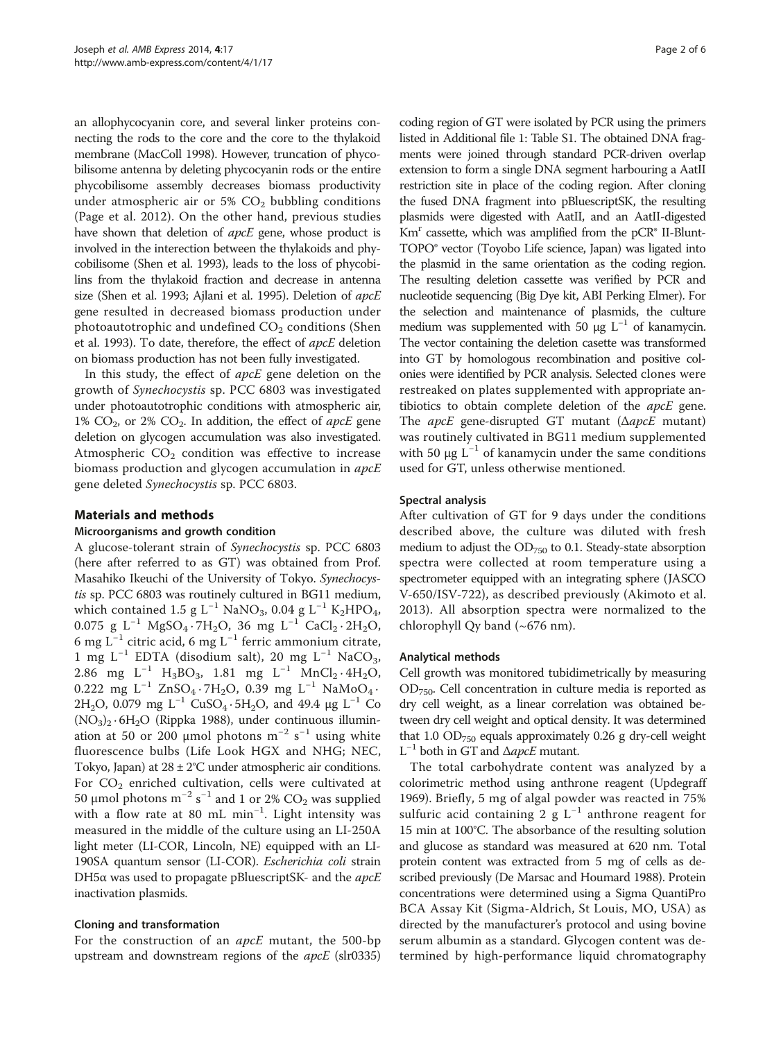an allophycocyanin core, and several linker proteins connecting the rods to the core and the core to the thylakoid membrane (MacColl [1998\)](#page-5-0). However, truncation of phycobilisome antenna by deleting phycocyanin rods or the entire phycobilisome assembly decreases biomass productivity under atmospheric air or 5%  $CO<sub>2</sub>$  bubbling conditions (Page et al. [2012](#page-5-0)). On the other hand, previous studies have shown that deletion of *apcE* gene, whose product is involved in the interection between the thylakoids and phycobilisome (Shen et al. [1993](#page-5-0)), leads to the loss of phycobilins from the thylakoid fraction and decrease in antenna size (Shen et al. [1993;](#page-5-0) Ajlani et al. [1995](#page-5-0)). Deletion of apcE gene resulted in decreased biomass production under photoautotrophic and undefined  $CO<sub>2</sub>$  conditions (Shen et al. [1993](#page-5-0)). To date, therefore, the effect of apcE deletion on biomass production has not been fully investigated.

In this study, the effect of apcE gene deletion on the growth of Synechocystis sp. PCC 6803 was investigated under photoautotrophic conditions with atmospheric air, 1%  $CO<sub>2</sub>$ , or 2%  $CO<sub>2</sub>$ . In addition, the effect of *apcE* gene deletion on glycogen accumulation was also investigated. Atmospheric  $CO<sub>2</sub>$  condition was effective to increase biomass production and glycogen accumulation in  $apcE$ gene deleted Synechocystis sp. PCC 6803.

# Materials and methods

#### Microorganisms and growth condition

A glucose-tolerant strain of Synechocystis sp. PCC 6803 (here after referred to as GT) was obtained from Prof. Masahiko Ikeuchi of the University of Tokyo. Synechocystis sp. PCC 6803 was routinely cultured in BG11 medium, which contained 1.5 g L<sup>-1</sup> NaNO<sub>3</sub>, 0.04 g L<sup>-1</sup> K<sub>2</sub>HPO<sub>4</sub>, 0.075 g L<sup>-1</sup> MgSO<sub>4</sub> · 7H<sub>2</sub>O, 36 mg L<sup>-1</sup> CaCl<sub>2</sub> · 2H<sub>2</sub>O, 6 mg L−<sup>1</sup> citric acid, 6 mg L−<sup>1</sup> ferric ammonium citrate, 1 mg L<sup>-1</sup> EDTA (disodium salt), 20 mg L<sup>-1</sup> NaCO<sub>3</sub>, 2.86 mg L<sup>-1</sup> H<sub>3</sub>BO<sub>3</sub>, 1.81 mg L<sup>-1</sup> MnCl<sub>2</sub> · 4H<sub>2</sub>O<sub>2</sub> 0.222 mg L<sup>-1</sup> ZnSO<sub>4</sub> · 7H<sub>2</sub>O, 0.39 mg L<sup>-1</sup> NaMoO<sub>4</sub> · 2H<sub>2</sub>O, 0.079 mg L<sup>-1</sup> CuSO<sub>4</sub> · 5H<sub>2</sub>O, and 49.4 μg L<sup>-1</sup> Co  $(NO<sub>3</sub>)<sub>2</sub> · 6H<sub>2</sub>O$  (Rippka [1988\)](#page-5-0), under continuous illumination at 50 or 200 µmol photons  $m^{-2}$  s<sup>-1</sup> using white fluorescence bulbs (Life Look HGX and NHG; NEC, Tokyo, Japan) at  $28 \pm 2^{\circ}$ C under atmospheric air conditions. For CO<sub>2</sub> enriched cultivation, cells were cultivated at 50 μmol photons  $m^{-2}$  s $^{-1}$  and 1 or 2%  ${\rm CO}_2$  was supplied with a flow rate at 80 mL min−<sup>1</sup> . Light intensity was measured in the middle of the culture using an LI-250A light meter (LI-COR, Lincoln, NE) equipped with an LI-190SA quantum sensor (LI-COR). Escherichia coli strain DH5 $\alpha$  was used to propagate pBluescriptSK- and the *apcE* inactivation plasmids.

# Cloning and transformation

For the construction of an *apcE* mutant, the 500-bp upstream and downstream regions of the *apcE* (slr0335)

coding region of GT were isolated by PCR using the primers listed in Additional file [1](#page-5-0): Table S1. The obtained DNA fragments were joined through standard PCR-driven overlap extension to form a single DNA segment harbouring a AatII restriction site in place of the coding region. After cloning the fused DNA fragment into pBluescriptSK, the resulting plasmids were digested with AatII, and an AatII-digested  $Km<sup>r</sup>$  cassette, which was amplified from the pCR<sup>®</sup> II-Blunt-TOPO® vector (Toyobo Life science, Japan) was ligated into the plasmid in the same orientation as the coding region. The resulting deletion cassette was verified by PCR and nucleotide sequencing (Big Dye kit, ABI Perking Elmer). For the selection and maintenance of plasmids, the culture medium was supplemented with 50 μg  $L^{-1}$  of kanamycin. The vector containing the deletion casette was transformed into GT by homologous recombination and positive colonies were identified by PCR analysis. Selected clones were restreaked on plates supplemented with appropriate antibiotics to obtain complete deletion of the *apcE* gene. The *apcE* gene-disrupted GT mutant ( $\triangle$ *apcE* mutant) was routinely cultivated in BG11 medium supplemented with 50  $\mu$ g L<sup>-1</sup> of kanamycin under the same conditions used for GT, unless otherwise mentioned.

# Spectral analysis

After cultivation of GT for 9 days under the conditions described above, the culture was diluted with fresh medium to adjust the  $OD_{750}$  to 0.1. Steady-state absorption spectra were collected at room temperature using a spectrometer equipped with an integrating sphere (JASCO V-650/ISV-722), as described previously (Akimoto et al. [2013\)](#page-5-0). All absorption spectra were normalized to the chlorophyll Qy band (~676 nm).

# Analytical methods

Cell growth was monitored tubidimetrically by measuring  $OD_{750}$ . Cell concentration in culture media is reported as dry cell weight, as a linear correlation was obtained between dry cell weight and optical density. It was determined that 1.0  $OD_{750}$  equals approximately 0.26 g dry-cell weight  $L^{-1}$  both in GT and  $\Delta$ apcE mutant.

The total carbohydrate content was analyzed by a colorimetric method using anthrone reagent (Updegraff [1969](#page-5-0)). Briefly, 5 mg of algal powder was reacted in 75% sulfuric acid containing 2 g  $L^{-1}$  anthrone reagent for 15 min at 100°C. The absorbance of the resulting solution and glucose as standard was measured at 620 nm. Total protein content was extracted from 5 mg of cells as described previously (De Marsac and Houmard [1988](#page-5-0)). Protein concentrations were determined using a Sigma QuantiPro BCA Assay Kit (Sigma-Aldrich, St Louis, MO, USA) as directed by the manufacturer's protocol and using bovine serum albumin as a standard. Glycogen content was determined by high-performance liquid chromatography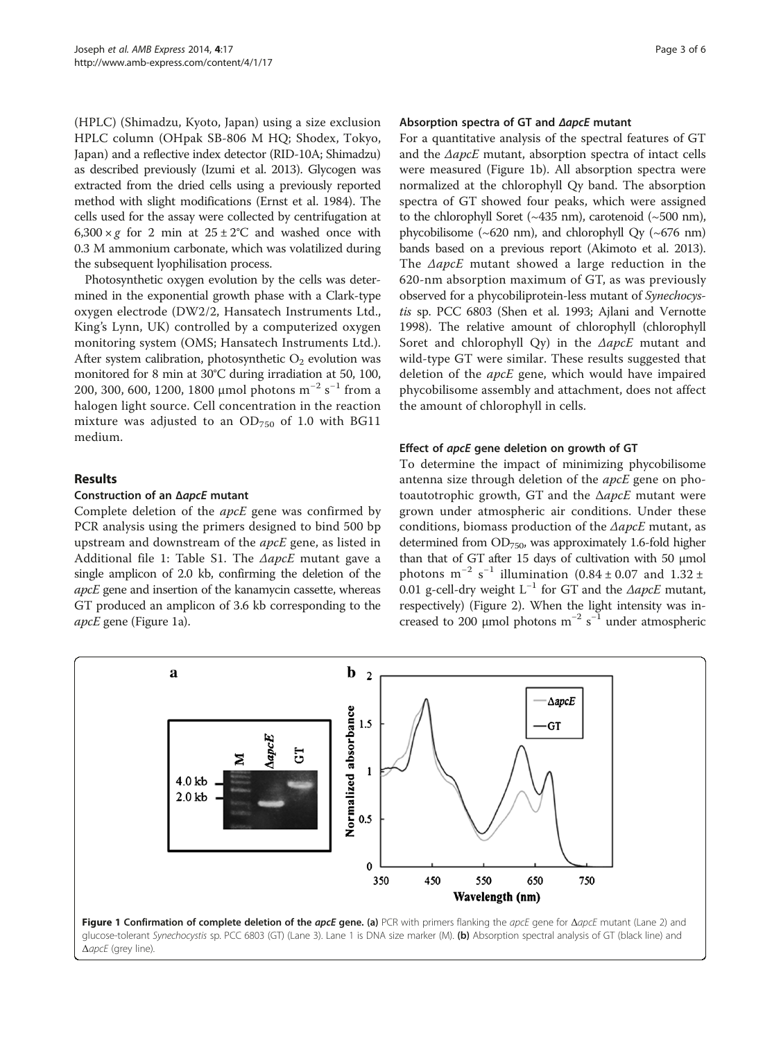(HPLC) (Shimadzu, Kyoto, Japan) using a size exclusion HPLC column (OHpak SB-806 M HQ; Shodex, Tokyo, Japan) and a reflective index detector (RID-10A; Shimadzu) as described previously (Izumi et al. [2013\)](#page-5-0). Glycogen was extracted from the dried cells using a previously reported method with slight modifications (Ernst et al. [1984\)](#page-5-0). The cells used for the assay were collected by centrifugation at  $6,300 \times g$  for 2 min at  $25 \pm 2^{\circ}$ C and washed once with 0.3 M ammonium carbonate, which was volatilized during the subsequent lyophilisation process.

Photosynthetic oxygen evolution by the cells was determined in the exponential growth phase with a Clark-type oxygen electrode (DW2/2, Hansatech Instruments Ltd., King's Lynn, UK) controlled by a computerized oxygen monitoring system (OMS; Hansatech Instruments Ltd.). After system calibration, photosynthetic  $O_2$  evolution was monitored for 8 min at 30°C during irradiation at 50, 100, 200, 300, 600, 1200, 1800 μmol photons m−<sup>2</sup> s <sup>−</sup><sup>1</sup> from a halogen light source. Cell concentration in the reaction mixture was adjusted to an  $OD_{750}$  of 1.0 with BG11 medium.

# Results

### Construction of an ΔapcE mutant

Complete deletion of the apcE gene was confirmed by PCR analysis using the primers designed to bind 500 bp upstream and downstream of the apcE gene, as listed in Additional file [1](#page-5-0): Table S1. The ΔapcE mutant gave a single amplicon of 2.0 kb, confirming the deletion of the apcE gene and insertion of the kanamycin cassette, whereas GT produced an amplicon of 3.6 kb corresponding to the apcE gene (Figure 1a).

#### Absorption spectra of GT and ΔapcE mutant

For a quantitative analysis of the spectral features of GT and the  $\triangle$ apcE mutant, absorption spectra of intact cells were measured (Figure 1b). All absorption spectra were normalized at the chlorophyll Qy band. The absorption spectra of GT showed four peaks, which were assigned to the chlorophyll Soret ( $\sim$ 435 nm), carotenoid ( $\sim$ 500 nm), phycobilisome  $(\sim 620 \text{ nm})$ , and chlorophyll Qy  $(\sim 676 \text{ nm})$ bands based on a previous report (Akimoto et al. [2013](#page-5-0)). The ΔapcE mutant showed a large reduction in the 620-nm absorption maximum of GT, as was previously observed for a phycobiliprotein-less mutant of Synechocystis sp. PCC 6803 (Shen et al. [1993](#page-5-0); Ajlani and Vernotte [1998](#page-5-0)). The relative amount of chlorophyll (chlorophyll Soret and chlorophyll Qy) in the ΔapcE mutant and wild-type GT were similar. These results suggested that deletion of the apcE gene, which would have impaired phycobilisome assembly and attachment, does not affect the amount of chlorophyll in cells.

#### Effect of apcE gene deletion on growth of GT

To determine the impact of minimizing phycobilisome antenna size through deletion of the apcE gene on photoautotrophic growth, GT and the  $\triangle$ *apcE* mutant were grown under atmospheric air conditions. Under these conditions, biomass production of the  $\triangle$ apcE mutant, as determined from  $OD_{750}$ , was approximately 1.6-fold higher than that of GT after 15 days of cultivation with 50 μmol photons  $m^{-2}$  s<sup>-1</sup> illumination (0.84 ± 0.07 and 1.32 ± 0.01 g-cell-dry weight  $L^{-1}$  for GT and the  $\triangle$ apcE mutant, respectively) (Figure [2](#page-3-0)). When the light intensity was increased to 200 µmol photons  $m^{-2} s^{-1}$  under atmospheric

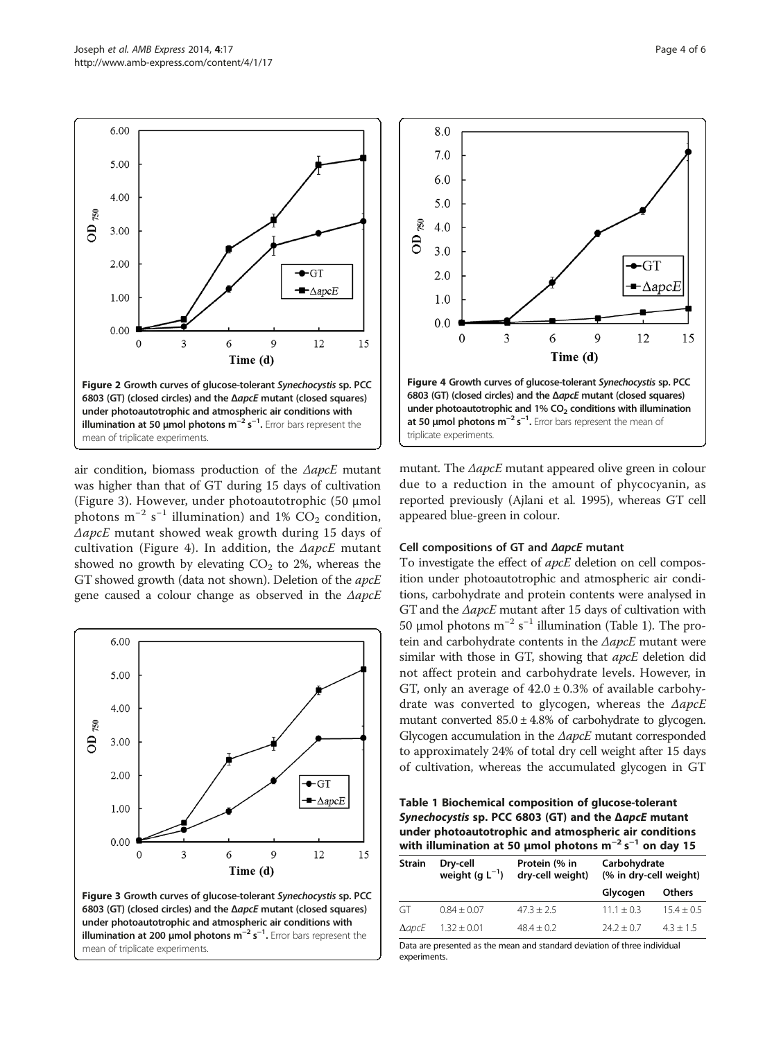<span id="page-3-0"></span>6.00

5.00

4.00

3.00

2.00

1.00

0.00

 $\epsilon$ 

OD $_{750}$ 

air condition, biomass production of the  $\triangle$ apcE mutant was higher than that of GT during 15 days of cultivation (Figure 3). However, under photoautotrophic (50 μmol photons  $m^{-2}$  s<sup>-1</sup> illumination) and 1%  $CO<sub>2</sub>$  condition,  $\Delta$ apcE mutant showed weak growth during 15 days of cultivation (Figure 4). In addition, the  $\triangle$ apcE mutant showed no growth by elevating  $CO<sub>2</sub>$  to 2%, whereas the GT showed growth (data not shown). Deletion of the apcE gene caused a colour change as observed in the ΔapcE

Figure 2 Growth curves of glucose-tolerant Synechocystis sp. PCC 6803 (GT) (closed circles) and the ΔapcE mutant (closed squares) under photoautotrophic and atmospheric air conditions with illumination at 50 µmol photons m<sup>−2</sup> s<sup>−1</sup>. Error bars represent the

6

 $\overline{3}$ 

 $\bullet$ GI

9

Time (d)

 $\blacksquare$   $\Delta$ apc $E$ 

12

15

mean of triplicate experiments.





mutant. The  $\triangle$ apcE mutant appeared olive green in colour due to a reduction in the amount of phycocyanin, as reported previously (Ajlani et al. [1995](#page-5-0)), whereas GT cell appeared blue-green in colour.

#### Cell compositions of GT and ΔapcE mutant

To investigate the effect of *apcE* deletion on cell composition under photoautotrophic and atmospheric air conditions, carbohydrate and protein contents were analysed in GT and the ΔapcE mutant after 15 days of cultivation with 50 μmol photons  $m^{-2}$  s<sup>-1</sup> illumination (Table 1). The protein and carbohydrate contents in the ΔapcE mutant were similar with those in GT, showing that apcE deletion did not affect protein and carbohydrate levels. However, in GT, only an average of  $42.0 \pm 0.3\%$  of available carbohydrate was converted to glycogen, whereas the ΔapcE mutant converted  $85.0 \pm 4.8\%$  of carbohydrate to glycogen. Glycogen accumulation in the ΔapcE mutant corresponded to approximately 24% of total dry cell weight after 15 days of cultivation, whereas the accumulated glycogen in GT

Table 1 Biochemical composition of glucose-tolerant Synechocystis sp. PCC 6803 (GT) and the ΔapcE mutant under photoautotrophic and atmospheric air conditions with illumination at 50 µmol photons  $m^{-2} s^{-1}$  on day 15

| Strain           | Dry-cell<br>weight (g $L^{-1}$ ) | Protein (% in<br>dry-cell weight) | Carbohydrate<br>(% in dry-cell weight) |               |
|------------------|----------------------------------|-----------------------------------|----------------------------------------|---------------|
|                  |                                  |                                   | Glycogen                               | <b>Others</b> |
| GT               | $0.84 + 0.07$                    | $47.3 + 2.5$                      | $11.1 + 0.3$                           | $15.4 + 0.5$  |
| $\Delta$ apc $E$ | $1.32 \pm 0.01$                  | $48.4 + 0.2$                      | $74.7 + 0.7$                           | $4.3 + 1.5$   |

Data are presented as the mean and standard deviation of three individual experiments.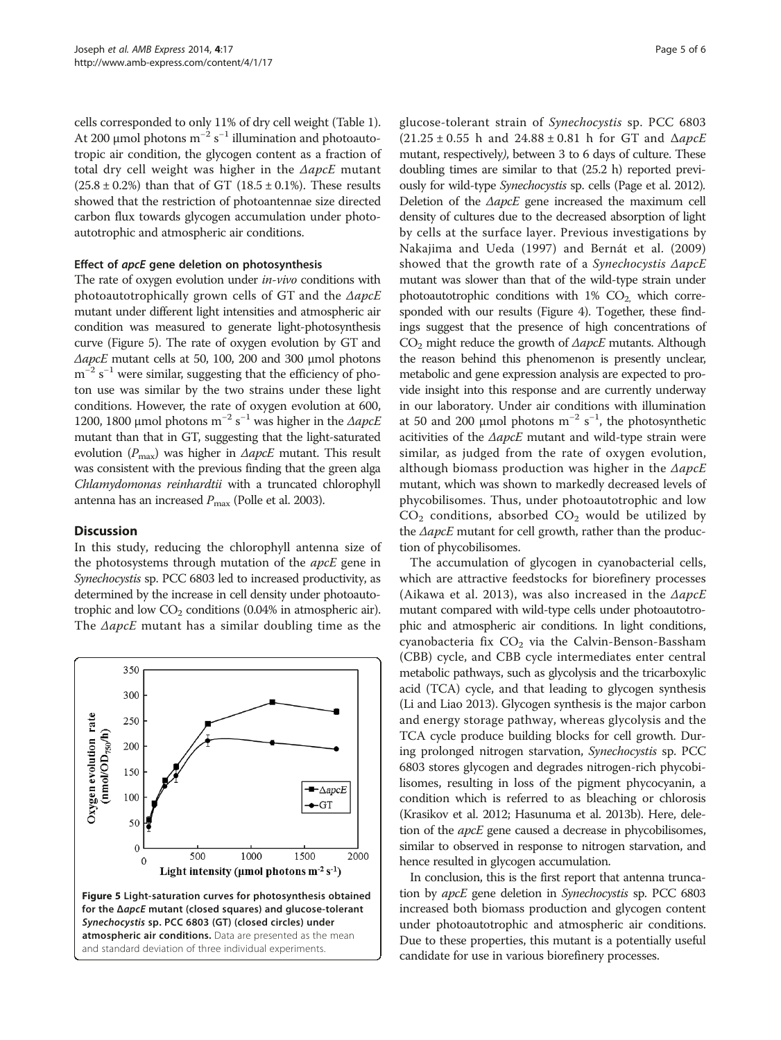cells corresponded to only 11% of dry cell weight (Table [1](#page-3-0)). At 200 µmol photons  $m^{-2} s^{-1}$  illumination and photoautotropic air condition, the glycogen content as a fraction of total dry cell weight was higher in the  $\triangle$ apcE mutant  $(25.8 \pm 0.2\%)$  than that of GT  $(18.5 \pm 0.1\%)$ . These results showed that the restriction of photoantennae size directed carbon flux towards glycogen accumulation under photoautotrophic and atmospheric air conditions.

#### Effect of apcE gene deletion on photosynthesis

The rate of oxygen evolution under *in-vivo* conditions with photoautotrophically grown cells of GT and the ΔapcE mutant under different light intensities and atmospheric air condition was measured to generate light-photosynthesis curve (Figure 5). The rate of oxygen evolution by GT and ΔapcE mutant cells at 50, 100, 200 and 300 μmol photons  $m^{-2}$  s<sup>-1</sup> were similar, suggesting that the efficiency of photon use was similar by the two strains under these light conditions. However, the rate of oxygen evolution at 600, 1200, 1800 μmol photons m<sup>-2</sup> s<sup>-1</sup> was higher in the ΔapcE mutant than that in GT, suggesting that the light-saturated evolution  $(P_{\text{max}})$  was higher in  $\Delta$ apcE mutant. This result was consistent with the previous finding that the green alga Chlamydomonas reinhardtii with a truncated chlorophyll antenna has an increased  $P_{\text{max}}$  (Polle et al. [2003\)](#page-5-0).

# **Discussion**

In this study, reducing the chlorophyll antenna size of the photosystems through mutation of the apcE gene in Synechocystis sp. PCC 6803 led to increased productivity, as determined by the increase in cell density under photoautotrophic and low  $CO<sub>2</sub>$  conditions (0.04% in atmospheric air). The ΔapcE mutant has a similar doubling time as the



glucose-tolerant strain of Synechocystis sp. PCC 6803  $(21.25 \pm 0.55 \text{ h} \text{ and } 24.88 \pm 0.81 \text{ h} \text{ for GT and } \Delta a \text{ } p \text{ } cE)$ mutant, respectively), between 3 to 6 days of culture. These doubling times are similar to that (25.2 h) reported previously for wild-type Synechocystis sp. cells (Page et al. [2012](#page-5-0)). Deletion of the ΔapcE gene increased the maximum cell density of cultures due to the decreased absorption of light by cells at the surface layer. Previous investigations by Nakajima and Ueda ([1997\)](#page-5-0) and Bernát et al. ([2009](#page-5-0)) showed that the growth rate of a Synechocystis ΔapcE mutant was slower than that of the wild-type strain under photoautotrophic conditions with  $1\%$  CO<sub>2</sub>, which corresponded with our results (Figure [4\)](#page-3-0). Together, these findings suggest that the presence of high concentrations of  $CO<sub>2</sub>$  might reduce the growth of  $\triangle$ apcE mutants. Although the reason behind this phenomenon is presently unclear, metabolic and gene expression analysis are expected to provide insight into this response and are currently underway in our laboratory. Under air conditions with illumination at 50 and 200 µmol photons  $m^{-2}$  s<sup>-1</sup>, the photosynthetic acitivities of the  $\triangle$ apcE mutant and wild-type strain were similar, as judged from the rate of oxygen evolution, although biomass production was higher in the  $\triangle$ apcE mutant, which was shown to markedly decreased levels of phycobilisomes. Thus, under photoautotrophic and low  $CO<sub>2</sub>$  conditions, absorbed  $CO<sub>2</sub>$  would be utilized by the ΔapcE mutant for cell growth, rather than the production of phycobilisomes.

The accumulation of glycogen in cyanobacterial cells, which are attractive feedstocks for biorefinery processes (Aikawa et al. [2013\)](#page-5-0), was also increased in the  $\triangle$ apcE mutant compared with wild-type cells under photoautotrophic and atmospheric air conditions. In light conditions, cyanobacteria fix  $CO<sub>2</sub>$  via the Calvin-Benson-Bassham (CBB) cycle, and CBB cycle intermediates enter central metabolic pathways, such as glycolysis and the tricarboxylic acid (TCA) cycle, and that leading to glycogen synthesis (Li and Liao [2013\)](#page-5-0). Glycogen synthesis is the major carbon and energy storage pathway, whereas glycolysis and the TCA cycle produce building blocks for cell growth. During prolonged nitrogen starvation, Synechocystis sp. PCC 6803 stores glycogen and degrades nitrogen-rich phycobilisomes, resulting in loss of the pigment phycocyanin, a condition which is referred to as bleaching or chlorosis (Krasikov et al. [2012](#page-5-0); Hasunuma et al. [2013b\)](#page-5-0). Here, deletion of the *apcE* gene caused a decrease in phycobilisomes, similar to observed in response to nitrogen starvation, and hence resulted in glycogen accumulation.

In conclusion, this is the first report that antenna truncation by apcE gene deletion in Synechocystis sp. PCC 6803 increased both biomass production and glycogen content under photoautotrophic and atmospheric air conditions. Due to these properties, this mutant is a potentially useful candidate for use in various biorefinery processes.